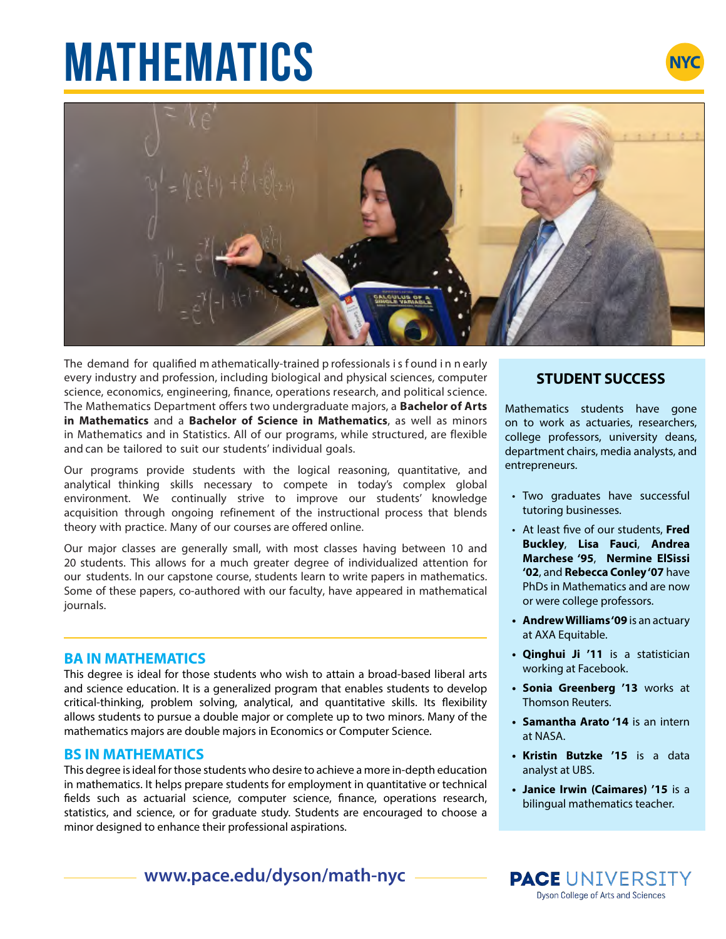# **MATHEMATICS**





The demand for qualified m athematically-trained p rofessionals i s f ound i n n early every industry and profession, including biological and physical sciences, computer science, economics, engineering, finance, operations research, and political science. The Mathematics Department offers two undergraduate majors, a **Bachelor of Arts in Mathematics** and a **Bachelor of Science in Mathematics**, as well as minors in Mathematics and in Statistics. All of our programs, while structured, are flexible and can be tailored to suit our students' individual goals.

Our programs provide students with the logical reasoning, quantitative, and analytical thinking skills necessary to compete in today's complex global environment. We continually strive to improve our students' knowledge acquisition through ongoing refinement of the instructional process that blends theory with practice. Many of our courses are offered online.

Our major classes are generally small, with most classes having between 10 and 20 students. This allows for a much greater degree of individualized attention for our students. In our capstone course, students learn to write papers in mathematics. Some of these papers, co-authored with our faculty, have appeared in mathematical journals.

### **BA IN MATHEMATICS**

This degree is ideal for those students who wish to attain a broad-based liberal arts and science education. It is a generalized program that enables students to develop critical-thinking, problem solving, analytical, and quantitative skills. Its flexibility allows students to pursue a double major or complete up to two minors. Many of the mathematics majors are double majors in Economics or Computer Science.

#### **BS IN MATHEMATICS**

This degree is ideal for those students who desire to achieve a more in-depth education in mathematics. It helps prepare students for employment in quantitative or technical fields such as actuarial science, computer science, finance, operations research, statistics, and science, or for graduate study. Students are encouraged to choose a minor designed to enhance their professional aspirations.

## **www.pace.edu/dyson/math-nyc**

### **STUDENT SUCCESS**

Mathematics students have gone on to work as actuaries, researchers, college professors, university deans, department chairs, media analysts, and entrepreneurs.

- Two graduates have successful tutoring businesses.
- At least five of our students, **Fred Buckley**, **Lisa Fauci**, **Andrea Marchese '95**, **Nermine ElSissi '02**, and **Rebecca Conley '07** have PhDs in Mathematics and are now or were college professors.
- **• Andrew Williams '09** is an actuary at AXA Equitable.
- **• Qinghui Ji '11** is a statistician working at Facebook.
- **• Sonia Greenberg '13** works at Thomson Reuters.
- **• Samantha Arato '14** is an intern at NASA.
- **• Kristin Butzke '15** is a data analyst at UBS.
- **• Janice Irwin (Caimares) '15** is a bilingual mathematics teacher.